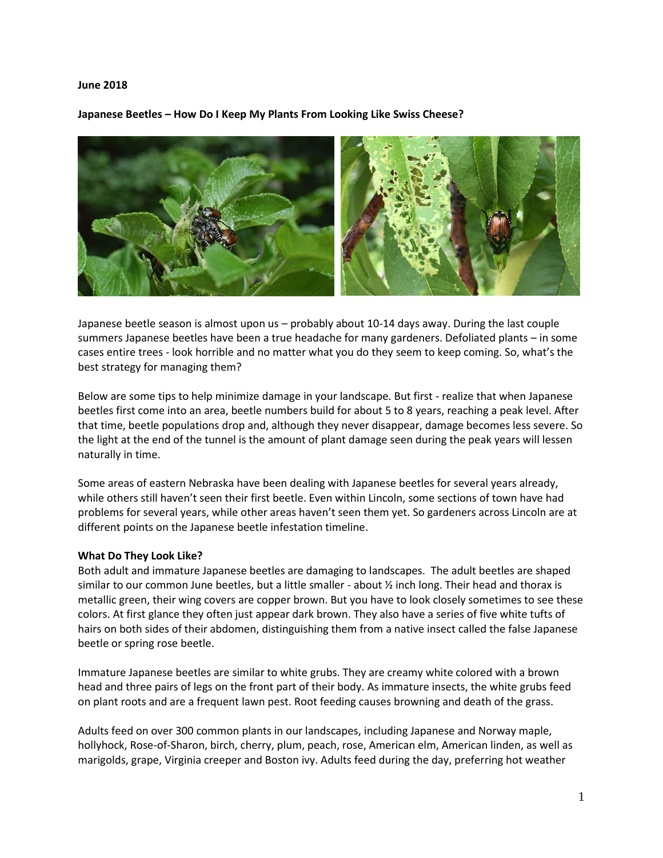#### **June 2018**

**Japanese Beetles – How Do I Keep My Plants From Looking Like Swiss Cheese?**



Japanese beetle season is almost upon us – probably about 10-14 days away. During the last couple summers Japanese beetles have been a true headache for many gardeners. Defoliated plants – in some cases entire trees - look horrible and no matter what you do they seem to keep coming. So, what's the best strategy for managing them?

Below are some tips to help minimize damage in your landscape. But first - realize that when Japanese beetles first come into an area, beetle numbers build for about 5 to 8 years, reaching a peak level. After that time, beetle populations drop and, although they never disappear, damage becomes less severe. So the light at the end of the tunnel is the amount of plant damage seen during the peak years will lessen naturally in time.

Some areas of eastern Nebraska have been dealing with Japanese beetles for several years already, while others still haven't seen their first beetle. Even within Lincoln, some sections of town have had problems for several years, while other areas haven't seen them yet. So gardeners across Lincoln are at different points on the Japanese beetle infestation timeline.

#### **What Do They Look Like?**

Both adult and immature Japanese beetles are damaging to landscapes. The adult beetles are shaped similar to our common June beetles, but a little smaller - about ½ inch long. Their head and thorax is metallic green, their wing covers are copper brown. But you have to look closely sometimes to see these colors. At first glance they often just appear dark brown. They also have a series of five white tufts of hairs on both sides of their abdomen, distinguishing them from a native insect called the false Japanese beetle or spring rose beetle.

Immature Japanese beetles are similar to white grubs. They are creamy white colored with a brown head and three pairs of legs on the front part of their body. As immature insects, the white grubs feed on plant roots and are a frequent lawn pest. Root feeding causes browning and death of the grass.

Adults feed on over 300 common plants in our landscapes, including Japanese and Norway maple, hollyhock, Rose-of-Sharon, birch, cherry, plum, peach, rose, American elm, American linden, as well as marigolds, grape, Virginia creeper and Boston ivy. Adults feed during the day, preferring hot weather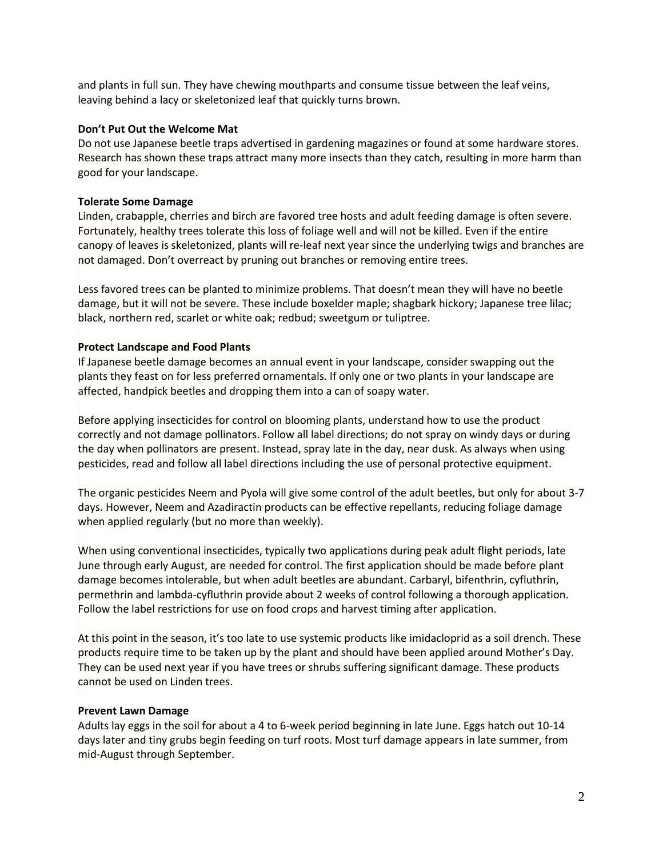and plants in full sun. They have chewing mouthparts and consume tissue between the leaf veins, leaving behind a lacy or skeletonized leaf that quickly turns brown.

## **Don't Put Out the Welcome Mat**

Do not use Japanese beetle traps advertised in gardening magazines or found at some hardware stores. Research has shown these traps attract many more insects than they catch, resulting in more harm than good for your landscape.

## **Tolerate Some Damage**

Linden, crabapple, cherries and birch are favored tree hosts and adult feeding damage is often severe. Fortunately, healthy trees tolerate this loss of foliage well and will not be killed. Even if the entire canopy of leaves is skeletonized, plants will re-leaf next year since the underlying twigs and branches are not damaged. Don't overreact by pruning out branches or removing entire trees.

Less favored trees can be planted to minimize problems. That doesn't mean they will have no beetle damage, but it will not be severe. These include boxelder maple; shagbark hickory; Japanese tree lilac; black, northern red, scarlet or white oak; redbud; sweetgum or tuliptree.

# **Protect Landscape and Food Plants**

If Japanese beetle damage becomes an annual event in your landscape, consider swapping out the plants they feast on for less preferred ornamentals. If only one or two plants in your landscape are affected, handpick beetles and dropping them into a can of soapy water.

Before applying insecticides for control on blooming plants, understand how to use the product correctly and not damage pollinators. Follow all label directions; do not spray on windy days or during the day when pollinators are present. Instead, spray late in the day, near dusk. As always when using pesticides, read and follow all label directions including the use of personal protective equipment.

The organic pesticides Neem and Pyola will give some control of the adult beetles, but only for about 3-7 days. However, Neem and Azadiractin products can be effective repellants, reducing foliage damage when applied regularly (but no more than weekly).

When using conventional insecticides, typically two applications during peak adult flight periods, late June through early August, are needed for control. The first application should be made before plant damage becomes intolerable, but when adult beetles are abundant. Carbaryl, bifenthrin, cyfluthrin, permethrin and lambda-cyfluthrin provide about 2 weeks of control following a thorough application. Follow the label restrictions for use on food crops and harvest timing after application.

At this point in the season, it's too late to use systemic products like imidacloprid as a soil drench. These products require time to be taken up by the plant and should have been applied around Mother's Day. They can be used next year if you have trees or shrubs suffering significant damage. These products cannot be used on Linden trees.

# **Prevent Lawn Damage**

Adults lay eggs in the soil for about a 4 to 6-week period beginning in late June. Eggs hatch out 10-14 days later and tiny grubs begin feeding on turf roots. Most turf damage appears in late summer, from mid-August through September.